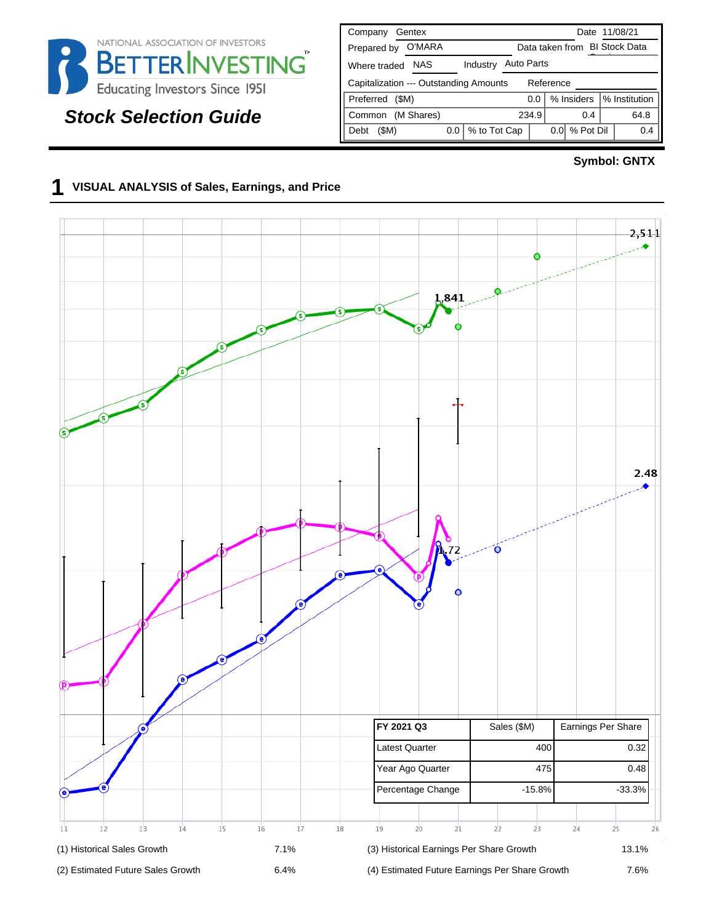

# **Stock Selection Guide**

| Company<br>Gentex                                   | Date 11/08/21                      |  |  |  |  |  |  |  |  |  |  |  |
|-----------------------------------------------------|------------------------------------|--|--|--|--|--|--|--|--|--|--|--|
| O'MARA<br>Prepared by                               | Data taken from BI Stock Data      |  |  |  |  |  |  |  |  |  |  |  |
| <b>NAS</b><br>Industry<br>Where traded              | <b>Auto Parts</b>                  |  |  |  |  |  |  |  |  |  |  |  |
| Reference<br>Capitalization --- Outstanding Amounts |                                    |  |  |  |  |  |  |  |  |  |  |  |
| Preferred<br>(SM)                                   | % Institution<br>% Insiders<br>0.0 |  |  |  |  |  |  |  |  |  |  |  |
| (M Shares)<br>Common                                | 234.9<br>64.8<br>0.4               |  |  |  |  |  |  |  |  |  |  |  |
| % to Tot Cap<br>(\$M)<br>0.0<br>Debt                | % Pot Dil<br>0.4<br>0.01           |  |  |  |  |  |  |  |  |  |  |  |

#### **Symbol: GNTX**

#### **1 VISUAL ANALYSIS of Sales, Earnings, and Price**

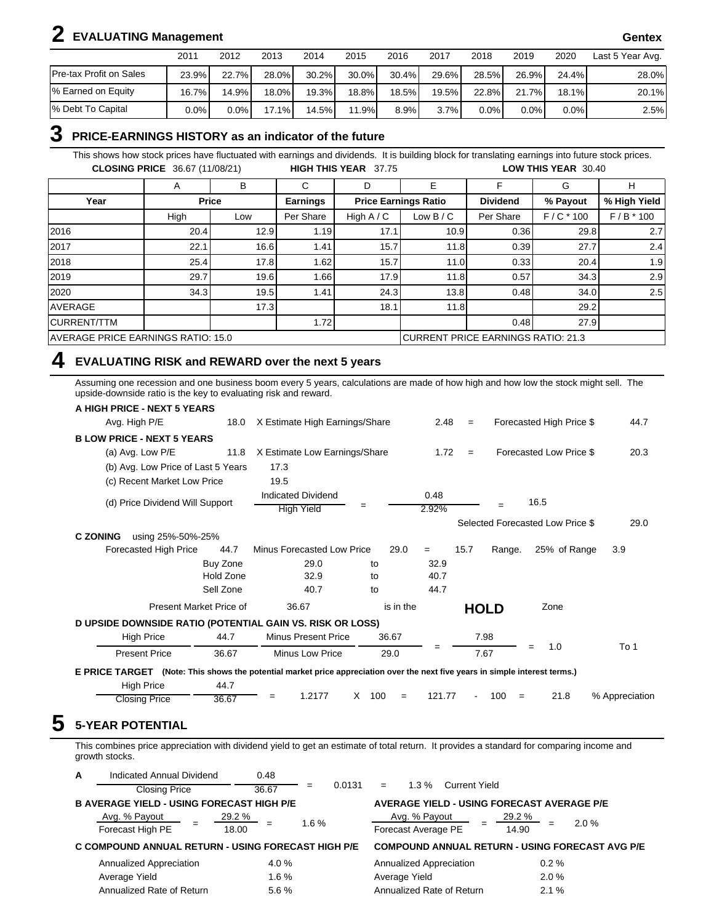# **2 EVALUATING Management Gentex**

|                         | 2011    | 2012  | 2013     | 2014     | 2015     | 2016     | 2017  | 2018  | 2019    | 2020  | Last 5 Year Avg. |
|-------------------------|---------|-------|----------|----------|----------|----------|-------|-------|---------|-------|------------------|
| Pre-tax Profit on Sales | 23.9%   | 22.7% | 28.0%    | $30.2\%$ | $30.0\%$ | $30.4\%$ | 29.6% | 28.5% | 26.9%   | 24.4% | 28.0%            |
| % Earned on Equity      | 16.7%   | 14.9% | 18.0%I   | 19.3%    | 18.8%    | 18.5%1   | 19.5% | 22.8% | 21.7%   | 18.1% | 20.1%            |
| % Debt To Capital       | $0.0\%$ | 0.0%  | $17.1\%$ | 14.5%    | 11.9%    | 8.9%     | 3.7%  | 0.0%  | $0.0\%$ | 0.0%  | 2.5%             |

#### **3 PRICE-EARNINGS HISTORY as an indicator of the future**

This shows how stock prices have fluctuated with earnings and dividends. It is building block for translating earnings into future stock prices. **CLOSING PRICE** 36.67 (11/08/21) **HIGH THIS YEAR** 37.75 **LOW THIS YEAR** 30.40

|                                           | A    | в            | С                                  | D            | E                           | F               | G           | н            |  |
|-------------------------------------------|------|--------------|------------------------------------|--------------|-----------------------------|-----------------|-------------|--------------|--|
| Year                                      |      | <b>Price</b> | <b>Earnings</b>                    |              | <b>Price Earnings Ratio</b> | <b>Dividend</b> | % Payout    | % High Yield |  |
|                                           | High | Low          | Per Share                          | High $A / C$ | Low $B/C$                   | Per Share       | $F/C * 100$ | $F/B * 100$  |  |
| 2016                                      | 20.4 | 12.9         | 1.19                               | 17.1         | 10.9                        | 0.36            | 29.8        | 2.7          |  |
| 2017                                      | 22.1 | 16.6         | 1.41.                              | 15.7         | 11.8                        | 0.39            | 27.7        | 2.4          |  |
| 2018                                      | 25.4 | 17.8         | ا 62. ا                            | 15.7         | 11.0                        | 0.33            | 20.4        | 1.9          |  |
| 2019                                      | 29.7 | 19.6         | 1.66                               | 17.9         | 11.8                        | 0.57            | 34.3        | 2.9          |  |
| 2020                                      | 34.3 | 19.5         | 1.41                               | 24.3         | 13.8                        | 0.48            | 34.0        | 2.5          |  |
| <b>AVERAGE</b>                            |      | 17.3         |                                    | 18.1         | 11.8                        |                 | 29.2        |              |  |
| <b>CURRENT/TTM</b>                        |      |              | 1.72                               |              |                             | 0.48            | 27.9        |              |  |
| <b>AVERAGE PRICE EARNINGS RATIO: 15.0</b> |      |              | CURRENT PRICE EARNINGS RATIO: 21.3 |              |                             |                 |             |              |  |

#### **4 EVALUATING RISK and REWARD over the next 5 years**

Assuming one recession and one business boom every 5 years, calculations are made of how high and how low the stock might sell. The upside-downside ratio is the key to evaluating risk and reward.

| A HIGH PRICE - NEXT 5 YEARS                                                                                                  |                         |                                                |                        |               |      |             |                                  |                |
|------------------------------------------------------------------------------------------------------------------------------|-------------------------|------------------------------------------------|------------------------|---------------|------|-------------|----------------------------------|----------------|
| Avg. High P/E                                                                                                                | 18.0                    | X Estimate High Earnings/Share                 |                        | 2.48          | $=$  |             | Forecasted High Price \$         | 44.7           |
| <b>BLOW PRICE - NEXT 5 YEARS</b>                                                                                             |                         |                                                |                        |               |      |             |                                  |                |
| (a) Avg. Low P/E                                                                                                             | 11.8                    | X Estimate Low Earnings/Share                  |                        | 1.72          | $=$  |             | Forecasted Low Price \$          | 20.3           |
| (b) Avg. Low Price of Last 5 Years                                                                                           |                         | 17.3                                           |                        |               |      |             |                                  |                |
| (c) Recent Market Low Price                                                                                                  |                         | 19.5                                           |                        |               |      |             |                                  |                |
| (d) Price Dividend Will Support                                                                                              |                         | <b>Indicated Dividend</b><br><b>High Yield</b> |                        | 0.48<br>2.92% |      | $=$         | 16.5                             |                |
|                                                                                                                              |                         |                                                |                        |               |      |             | Selected Forecasted Low Price \$ | 29.0           |
| <b>C ZONING</b><br>using 25%-50%-25%                                                                                         |                         |                                                |                        |               |      |             |                                  |                |
| Forecasted High Price                                                                                                        | 44.7                    | Minus Forecasted Low Price                     | 29.0                   | $=$           | 15.7 | Range.      | 25% of Range                     | 3.9            |
|                                                                                                                              | Buy Zone                | 29.0                                           | to                     | 32.9          |      |             |                                  |                |
|                                                                                                                              | Hold Zone               | 32.9                                           | to                     | 40.7          |      |             |                                  |                |
|                                                                                                                              | Sell Zone               | 40.7                                           | to                     | 44.7          |      |             |                                  |                |
|                                                                                                                              | Present Market Price of | 36.67                                          | is in the              |               |      | <b>HOLD</b> | Zone                             |                |
| D UPSIDE DOWNSIDE RATIO (POTENTIAL GAIN VS. RISK OR LOSS)                                                                    |                         |                                                |                        |               |      |             |                                  |                |
| <b>High Price</b>                                                                                                            | 44.7                    | <b>Minus Present Price</b>                     | 36.67                  |               |      | 7.98        |                                  |                |
| <b>Present Price</b>                                                                                                         | 36.67                   | <b>Minus Low Price</b>                         | 29.0                   | =             |      | 7.67        | 1.0<br>$=$                       | To 1           |
| E PRICE TARGET (Note: This shows the potential market price appreciation over the next five years in simple interest terms.) |                         |                                                |                        |               |      |             |                                  |                |
| <b>High Price</b>                                                                                                            | 44.7                    |                                                |                        |               |      |             |                                  |                |
| <b>Closing Price</b>                                                                                                         | 36.67                   | 1.2177<br>$=$                                  | $\times$<br>100<br>$=$ | 121.77        |      | 100<br>$=$  | 21.8                             | % Appreciation |

This combines price appreciation with dividend yield to get an estimate of total return. It provides a standard for comparing income and growth stocks.

| A | Indicated Annual Dividend                          | 0.48                   |               |                                        |                                                        |
|---|----------------------------------------------------|------------------------|---------------|----------------------------------------|--------------------------------------------------------|
|   | <b>Closing Price</b>                               | 36.67                  | 0.0131<br>$=$ | <b>Current Yield</b><br>$1.3\%$<br>$=$ |                                                        |
|   | <b>B AVERAGE YIELD - USING FORECAST HIGH P/E</b>   |                        |               |                                        | <b>AVERAGE YIELD - USING FORECAST AVERAGE P/E</b>      |
|   | Avg. % Payout<br>Forecast High PE                  | <u>29.2 %</u><br>18.00 | 1.6%          | Avg. % Payout<br>Forecast Average PE   | $29.2\%$<br>2.0%<br>14.90                              |
|   | C COMPOUND ANNUAL RETURN - USING FORECAST HIGH P/E |                        |               |                                        | <b>COMPOUND ANNUAL RETURN - USING FORECAST AVG P/E</b> |
|   | Annualized Appreciation                            | 4.0%                   |               | Annualized Appreciation                | $0.2 \%$                                               |
|   | Average Yield                                      | 1.6%                   |               | Average Yield                          | 2.0%                                                   |
|   | Annualized Rate of Return                          | 5.6%                   |               | Annualized Rate of Return              | 2.1%                                                   |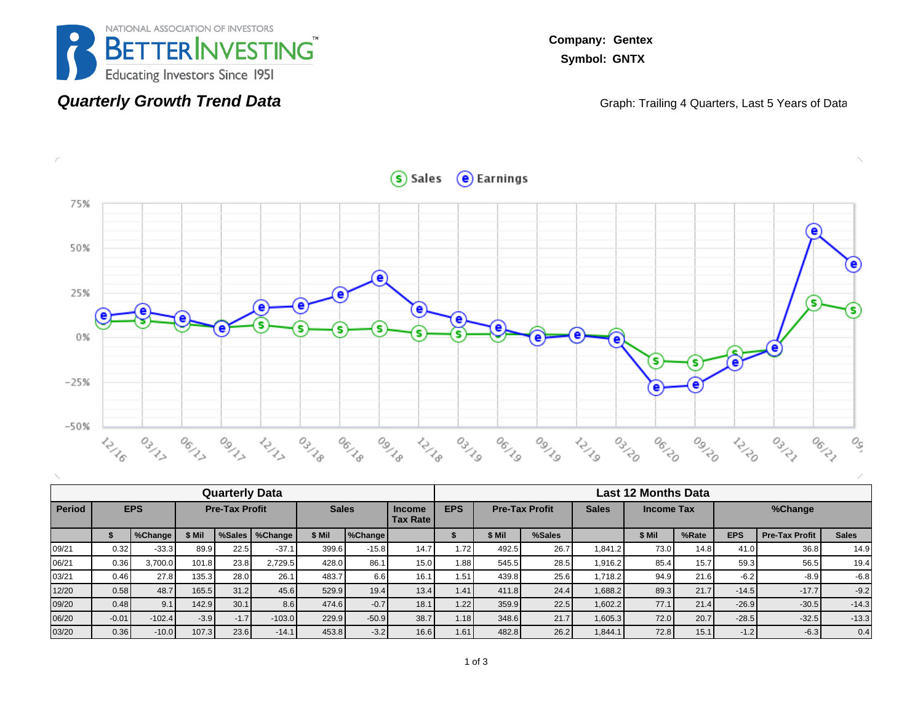

**Quarterly Growth Trend Data**

**Company: Gentex Symbol: GNTX**

Graph: Trailing 4 Quarters, Last 5 Years of Data



|               | <b>Quarterly Data</b> |          |        |                       |                  |        |                |      |                                                                                                              |        | <b>Last 12 Months Data</b> |         |        |       |            |                       |              |  |  |  |  |
|---------------|-----------------------|----------|--------|-----------------------|------------------|--------|----------------|------|--------------------------------------------------------------------------------------------------------------|--------|----------------------------|---------|--------|-------|------------|-----------------------|--------------|--|--|--|--|
| <b>Period</b> | <b>EPS</b>            |          |        | <b>Pre-Tax Profit</b> |                  |        | <b>Sales</b>   |      | <b>EPS</b><br><b>Pre-Tax Profit</b><br><b>Sales</b><br><b>Income Tax</b><br><b>Income</b><br><b>Tax Rate</b> |        |                            |         |        |       | %Change    |                       |              |  |  |  |  |
|               |                       | %Change  | \$ Mil |                       | %Sales   %Change | \$ Mil | <b>%Change</b> |      |                                                                                                              | \$ Mil | %Sales                     |         | \$ Mil | %Rate | <b>EPS</b> | <b>Pre-Tax Profit</b> | <b>Sales</b> |  |  |  |  |
| 09/21         | 0.32                  | $-33.3$  | 89.9   | 22.5                  | $-37.1$          | 399.6  | $-15.8$        | 14.7 | 1.72                                                                                                         | 492.5  | 26.7                       | .841.2  | 73.0   | 14.8  | 41.0       | 36.8                  | 14.9         |  |  |  |  |
| 06/21         | 0.36                  | 3,700.0  | 101.8  | 23.8                  | 2.729.5          | 428.0  | 86.1           | 15.0 | 1.88                                                                                                         | 545.5  | 28.5                       | 1.916.2 | 85.4   | 15.7  | 59.3       | 56.5                  | 19.4         |  |  |  |  |
| 03/21         | 0.46                  | 27.8     | 135.3  | 28.0                  | 26.1             | 483.7  | 6.6            | 16.1 | 1.51                                                                                                         | 439.8  | 25.6                       | .718.2  | 94.9   | 21.6  | $-6.2$     | $-8.9$                | $-6.8$       |  |  |  |  |
| 12/20         | 0.58                  | 48.7     | 165.5  | 31.2                  | 45.6             | 529.9  | 19.4           | 13.4 | 1.41                                                                                                         | 411.8  | 24.4                       | 1,688.2 | 89.3   | 21.7  | $-14.5$    | $-17.7$               | $-9.2$       |  |  |  |  |
| 09/20         | 0.48                  | 9.1      | 142.9  | 30.1                  | 8.6              | 474.6  | $-0.7$         | 18.1 | 1.22                                                                                                         | 359.9  | 22.5                       | 1,602.2 | 77.1   | 21.4  | $-26.9$    | $-30.5$               | $-14.3$      |  |  |  |  |
| 06/20         | $-0.01$               | $-102.4$ | $-3.9$ | $-1.7'$               | $-103.0$         | 229.9  | $-50.9$        | 38.7 | 1.18                                                                                                         | 348.6  | 21.7                       | 1,605.3 | 72.0   | 20.7  | $-28.5$    | $-32.5$               | $-13.3$      |  |  |  |  |
| 03/20         | 0.36                  | $-10.0$  | 107.3  | 23.6                  | $-14.1$          | 453.8  | $-3.2$         | 16.6 | 1.61                                                                                                         | 482.8  | 26.2                       | 1.844.1 | 72.8   | 15.1  | $-1.2$     | $-6.3$                | 0.4          |  |  |  |  |

Sales e Earnings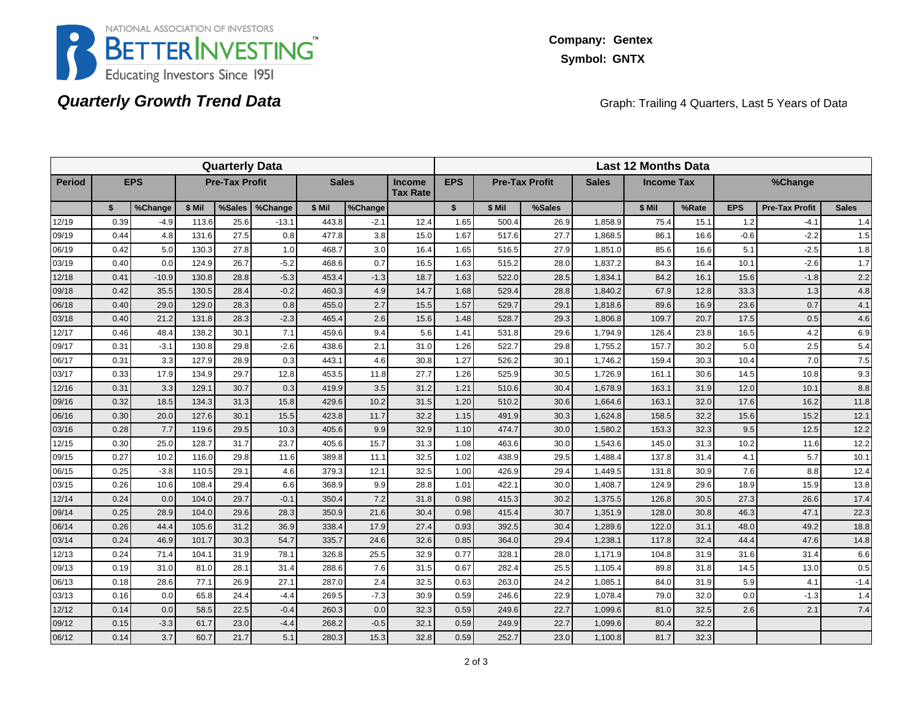

## **Quarterly Growth Trend Data**

Graph: Trailing 4 Quarters, Last 5 Years of Data

|               | <b>Quarterly Data</b> |            |        |                       |         |              |         |                                  |              |        | <b>Last 12 Months Data</b> |              |                   |       |            |                       |              |  |  |  |  |
|---------------|-----------------------|------------|--------|-----------------------|---------|--------------|---------|----------------------------------|--------------|--------|----------------------------|--------------|-------------------|-------|------------|-----------------------|--------------|--|--|--|--|
| <b>Period</b> |                       | <b>EPS</b> |        | <b>Pre-Tax Profit</b> |         | <b>Sales</b> |         | <b>Income</b><br><b>Tax Rate</b> | <b>EPS</b>   |        | <b>Pre-Tax Profit</b>      | <b>Sales</b> | <b>Income Tax</b> |       |            | %Change               |              |  |  |  |  |
|               | \$                    | %Change    | \$ Mil | %Sales                | %Change | \$ Mil       | %Change |                                  | $\mathbf{s}$ | \$ Mil | %Sales                     |              | \$ Mil            | %Rate | <b>EPS</b> | <b>Pre-Tax Profit</b> | <b>Sales</b> |  |  |  |  |
| 12/19         | 0.39                  | $-4.9$     | 113.6  | 25.6                  | $-13.1$ | 443.8        | $-2.1$  | 12.4                             | 1.65         | 500.4  | 26.9                       | 1,858.9      | 75.4              | 15.1  | 1.2        | $-4.1$                | 1.4          |  |  |  |  |
| 09/19         | 0.44                  | 4.8        | 131.6  | 27.5                  | 0.8     | 477.8        | 3.8     | 15.0                             | 1.67         | 517.6  | 27.7                       | 1,868.5      | 86.1              | 16.6  | $-0.6$     | $-2.2$                | 1.5          |  |  |  |  |
| 06/19         | 0.42                  | 5.0        | 130.3  | 27.8                  | 1.0     | 468.7        | 3.0     | 16.4                             | 1.65         | 516.5  | 27.9                       | 1,851.0      | 85.6              | 16.6  | 5.1        | $-2.5$                | 1.8          |  |  |  |  |
| 03/19         | 0.40                  | 0.0        | 124.9  | 26.7                  | $-5.2$  | 468.6        | 0.7     | 16.5                             | 1.63         | 515.2  | 28.0                       | 1,837.2      | 84.3              | 16.4  | 10.1       | $-2.6$                | 1.7          |  |  |  |  |
| 12/18         | 0.41                  | $-10.9$    | 130.8  | 28.8                  | $-5.3$  | 453.4        | $-1.3$  | 18.7                             | 1.63         | 522.0  | 28.5                       | 1,834.7      | 84.2              | 16.1  | 15.6       | $-1.8$                | 2.2          |  |  |  |  |
| 09/18         | 0.42                  | 35.5       | 130.5  | 28.4                  | $-0.2$  | 460.3        | 4.9     | 14.7                             | 1.68         | 529.4  | 28.8                       | 1,840.2      | 67.9              | 12.8  | 33.3       | 1.3                   | 4.8          |  |  |  |  |
| 06/18         | 0.40                  | 29.0       | 129.0  | 28.3                  | 0.8     | 455.0        | 2.7     | 15.5                             | 1.57         | 529.7  | 29.1                       | 1,818.6      | 89.6              | 16.9  | 23.6       | 0.7                   | 4.1          |  |  |  |  |
| 03/18         | 0.40                  | 21.2       | 131.8  | 28.3                  | $-2.3$  | 465.4        | 2.6     | 15.6                             | 1.48         | 528.7  | 29.3                       | 1,806.8      | 109.7             | 20.7  | 17.5       | 0.5                   | 4.6          |  |  |  |  |
| 12/17         | 0.46                  | 48.4       | 138.2  | 30.1                  | 7.1     | 459.6        | 9.4     | 5.6                              | 1.41         | 531.8  | 29.6                       | 1,794.9      | 126.4             | 23.8  | 16.5       | 4.2                   | 6.9          |  |  |  |  |
| 09/17         | 0.31                  | $-3.1$     | 130.8  | 29.8                  | $-2.6$  | 438.6        | 2.1     | 31.0                             | 1.26         | 522.7  | 29.8                       | 1,755.2      | 157.7             | 30.2  | 5.0        | 2.5                   | 5.4          |  |  |  |  |
| 06/17         | 0.31                  | 3.3        | 127.9  | 28.9                  | 0.3     | 443.1        | 4.6     | 30.8                             | 1.27         | 526.2  | 30.1                       | 1,746.2      | 159.4             | 30.3  | 10.4       | 7.0                   | 7.5          |  |  |  |  |
| 03/17         | 0.33                  | 17.9       | 134.9  | 29.7                  | 12.8    | 453.5        | 11.8    | 27.7                             | 1.26         | 525.9  | 30.5                       | 1,726.9      | 161.1             | 30.6  | 14.5       | 10.8                  | 9.3          |  |  |  |  |
| 12/16         | 0.31                  | 3.3        | 129.1  | 30.7                  | 0.3     | 419.9        | 3.5     | 31.2                             | 1.21         | 510.6  | 30.4                       | 1,678.9      | 163.1             | 31.9  | 12.0       | 10.1                  | 8.8          |  |  |  |  |
| 09/16         | 0.32                  | 18.5       | 134.3  | 31.3                  | 15.8    | 429.6        | 10.2    | 31.5                             | 1.20         | 510.2  | 30.6                       | 1,664.6      | 163.1             | 32.0  | 17.6       | 16.2                  | 11.8         |  |  |  |  |
| 06/16         | 0.30                  | 20.0       | 127.6  | 30.1                  | 15.5    | 423.8        | 11.7    | 32.2                             | 1.15         | 491.9  | 30.3                       | 1,624.8      | 158.5             | 32.2  | 15.6       | 15.2                  | 12.1         |  |  |  |  |
| 03/16         | 0.28                  | 7.7        | 119.6  | 29.5                  | 10.3    | 405.6        | 9.9     | 32.9                             | 1.10         | 474.7  | 30.0                       | 1,580.2      | 153.3             | 32.3  | 9.5        | 12.5                  | 12.2         |  |  |  |  |
| 12/15         | 0.30                  | 25.0       | 128.7  | 31.7                  | 23.7    | 405.6        | 15.7    | 31.3                             | 1.08         | 463.6  | 30.0                       | 1,543.6      | 145.0             | 31.3  | 10.2       | 11.6                  | 12.2         |  |  |  |  |
| 09/15         | 0.27                  | 10.2       | 116.0  | 29.8                  | 11.6    | 389.8        | 11.1    | 32.5                             | 1.02         | 438.9  | 29.5                       | 1,488.4      | 137.8             | 31.4  | 4.1        | 5.7                   | 10.1         |  |  |  |  |
| 06/15         | 0.25                  | $-3.8$     | 110.5  | 29.1                  | 4.6     | 379.3        | 12.1    | 32.5                             | 1.00         | 426.9  | 29.4                       | 1,449.5      | 131.8             | 30.9  | 7.6        | 8.8                   | 12.4         |  |  |  |  |
| 03/15         | 0.26                  | 10.6       | 108.4  | 29.4                  | 6.6     | 368.9        | 9.9     | 28.8                             | 1.01         | 422.1  | 30.0                       | 1,408.7      | 124.9             | 29.6  | 18.9       | 15.9                  | 13.8         |  |  |  |  |
| 12/14         | 0.24                  | 0.0        | 104.0  | 29.7                  | $-0.1$  | 350.4        | 7.2     | 31.8                             | 0.98         | 415.3  | 30.2                       | 1,375.5      | 126.8             | 30.5  | 27.3       | 26.6                  | 17.4         |  |  |  |  |
| 09/14         | 0.25                  | 28.9       | 104.0  | 29.6                  | 28.3    | 350.9        | 21.6    | 30.4                             | 0.98         | 415.4  | 30.7                       | 1,351.9      | 128.0             | 30.8  | 46.3       | 47.1                  | 22.3         |  |  |  |  |
| 06/14         | 0.26                  | 44.4       | 105.6  | 31.2                  | 36.9    | 338.4        | 17.9    | 27.4                             | 0.93         | 392.5  | 30.4                       | 1,289.6      | 122.0             | 31.1  | 48.0       | 49.2                  | 18.8         |  |  |  |  |
| 03/14         | 0.24                  | 46.9       | 101.7  | 30.3                  | 54.7    | 335.7        | 24.6    | 32.6                             | 0.85         | 364.0  | 29.4                       | 1,238.1      | 117.8             | 32.4  | 44.4       | 47.6                  | 14.8         |  |  |  |  |
| 12/13         | 0.24                  | 71.4       | 104.1  | 31.9                  | 78.1    | 326.8        | 25.5    | 32.9                             | 0.77         | 328.1  | 28.0                       | 1.171.9      | 104.8             | 31.9  | 31.6       | 31.4                  | 6.6          |  |  |  |  |
| 09/13         | 0.19                  | 31.0       | 81.0   | 28.1                  | 31.4    | 288.6        | 7.6     | 31.5                             | 0.67         | 282.4  | 25.5                       | 1,105.4      | 89.8              | 31.8  | 14.5       | 13.0                  | 0.5          |  |  |  |  |
| 06/13         | 0.18                  | 28.6       | 77.1   | 26.9                  | 27.1    | 287.0        | 2.4     | 32.5                             | 0.63         | 263.0  | 24.2                       | 1,085.1      | 84.0              | 31.9  | 5.9        | 4.1                   | $-1.4$       |  |  |  |  |
| 03/13         | 0.16                  | 0.0        | 65.8   | 24.4                  | $-4.4$  | 269.5        | $-7.3$  | 30.9                             | 0.59         | 246.6  | 22.9                       | 1,078.4      | 79.0              | 32.0  | 0.0        | $-1.3$                | 1.4          |  |  |  |  |
| 12/12         | 0.14                  | 0.0        | 58.5   | 22.5                  | $-0.4$  | 260.3        | 0.0     | 32.3                             | 0.59         | 249.6  | 22.7                       | 1,099.6      | 81.0              | 32.5  | 2.6        | 2.1                   | 7.4          |  |  |  |  |
| 09/12         | 0.15                  | $-3.3$     | 61.7   | 23.0                  | $-4.4$  | 268.2        | $-0.5$  | 32.1                             | 0.59         | 249.9  | 22.7                       | 1,099.6      | 80.4              | 32.2  |            |                       |              |  |  |  |  |
| 06/12         | 0.14                  | 3.7        | 60.7   | 21.7                  | 5.1     | 280.3        | 15.3    | 32.8                             | 0.59         | 252.7  | 23.0                       | 1,100.8      | 81.7              | 32.3  |            |                       |              |  |  |  |  |